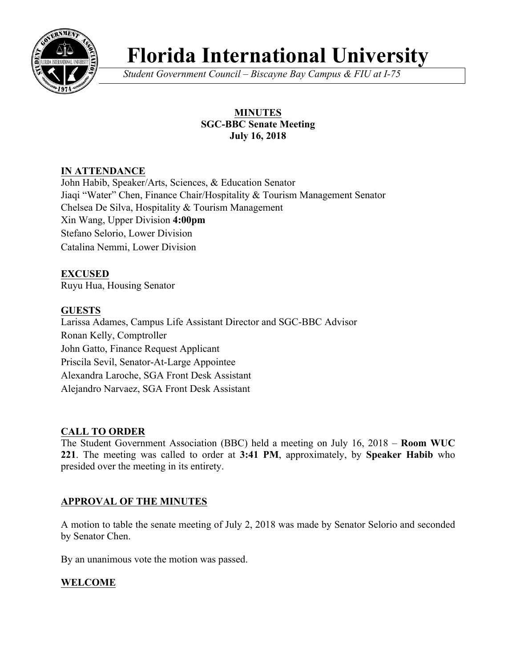

# **Florida International University**

*Student Government Council – Biscayne Bay Campus & FIU at I-75*

# **MINUTES SGC-BBC Senate Meeting July 16, 2018**

# **IN ATTENDANCE**

John Habib, Speaker/Arts, Sciences, & Education Senator Jiaqi "Water" Chen, Finance Chair/Hospitality & Tourism Management Senator Chelsea De Silva, Hospitality & Tourism Management Xin Wang, Upper Division **4:00pm** Stefano Selorio, Lower Division Catalina Nemmi, Lower Division

**EXCUSED** Ruyu Hua, Housing Senator

# **GUESTS**

Larissa Adames, Campus Life Assistant Director and SGC-BBC Advisor Ronan Kelly, Comptroller John Gatto, Finance Request Applicant Priscila Sevil, Senator-At-Large Appointee Alexandra Laroche, SGA Front Desk Assistant Alejandro Narvaez, SGA Front Desk Assistant

# **CALL TO ORDER**

The Student Government Association (BBC) held a meeting on July 16, 2018 – **Room WUC 221**. The meeting was called to order at **3:41 PM**, approximately, by **Speaker Habib** who presided over the meeting in its entirety.

## **APPROVAL OF THE MINUTES**

A motion to table the senate meeting of July 2, 2018 was made by Senator Selorio and seconded by Senator Chen.

By an unanimous vote the motion was passed.

# **WELCOME**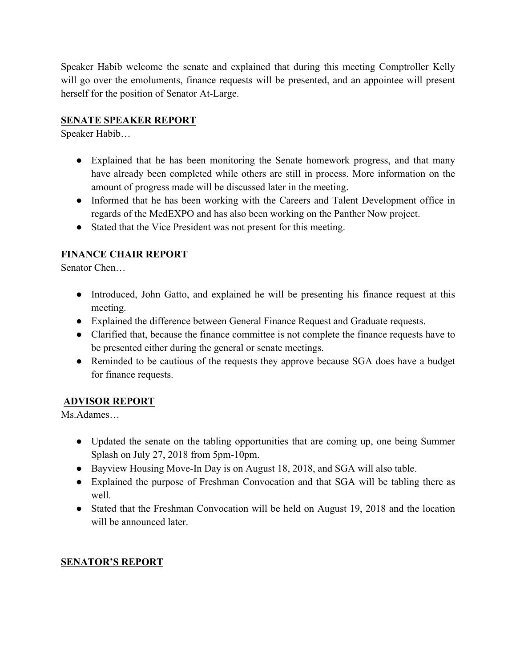Speaker Habib welcome the senate and explained that during this meeting Comptroller Kelly will go over the emoluments, finance requests will be presented, and an appointee will present herself for the position of Senator At-Large.

# **SENATE SPEAKER REPORT**

Speaker Habib…

- Explained that he has been monitoring the Senate homework progress, and that many have already been completed while others are still in process. More information on the amount of progress made will be discussed later in the meeting.
- Informed that he has been working with the Careers and Talent Development office in regards of the MedEXPO and has also been working on the Panther Now project.
- Stated that the Vice President was not present for this meeting.

# **FINANCE CHAIR REPORT**

Senator Chen…

- Introduced, John Gatto, and explained he will be presenting his finance request at this meeting.
- Explained the difference between General Finance Request and Graduate requests.
- Clarified that, because the finance committee is not complete the finance requests have to be presented either during the general or senate meetings.
- Reminded to be cautious of the requests they approve because SGA does have a budget for finance requests.

# **ADVISOR REPORT**

Ms.Adames…

- Updated the senate on the tabling opportunities that are coming up, one being Summer Splash on July 27, 2018 from 5pm-10pm.
- Bayview Housing Move-In Day is on August 18, 2018, and SGA will also table.
- Explained the purpose of Freshman Convocation and that SGA will be tabling there as well.
- Stated that the Freshman Convocation will be held on August 19, 2018 and the location will be announced later.

# **SENATOR'S REPORT**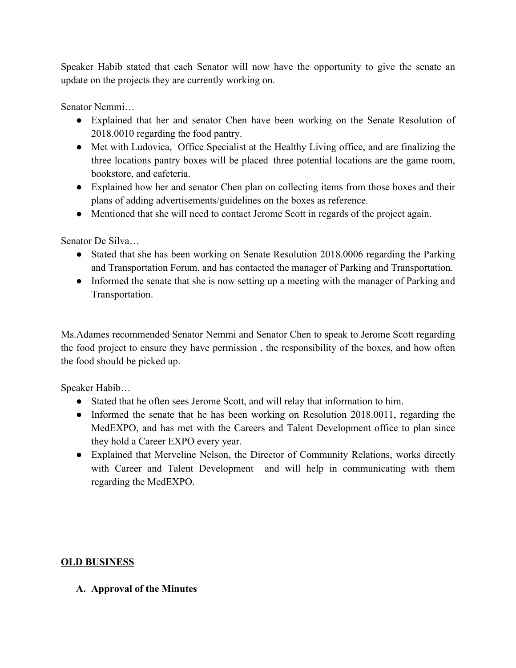Speaker Habib stated that each Senator will now have the opportunity to give the senate an update on the projects they are currently working on.

Senator Nemmi…

- Explained that her and senator Chen have been working on the Senate Resolution of 2018.0010 regarding the food pantry.
- Met with Ludovica, Office Specialist at the Healthy Living office, and are finalizing the three locations pantry boxes will be placed–three potential locations are the game room, bookstore, and cafeteria.
- Explained how her and senator Chen plan on collecting items from those boxes and their plans of adding advertisements/guidelines on the boxes as reference.
- Mentioned that she will need to contact Jerome Scott in regards of the project again.

Senator De Silva…

- Stated that she has been working on Senate Resolution 2018.0006 regarding the Parking and Transportation Forum, and has contacted the manager of Parking and Transportation.
- Informed the senate that she is now setting up a meeting with the manager of Parking and Transportation.

Ms.Adames recommended Senator Nemmi and Senator Chen to speak to Jerome Scott regarding the food project to ensure they have permission , the responsibility of the boxes, and how often the food should be picked up.

Speaker Habib…

- Stated that he often sees Jerome Scott, and will relay that information to him.
- Informed the senate that he has been working on Resolution 2018.0011, regarding the MedEXPO, and has met with the Careers and Talent Development office to plan since they hold a Career EXPO every year.
- Explained that Merveline Nelson, the Director of Community Relations, works directly with Career and Talent Development and will help in communicating with them regarding the MedEXPO.

## **OLD BUSINESS**

#### **A. Approval of the Minutes**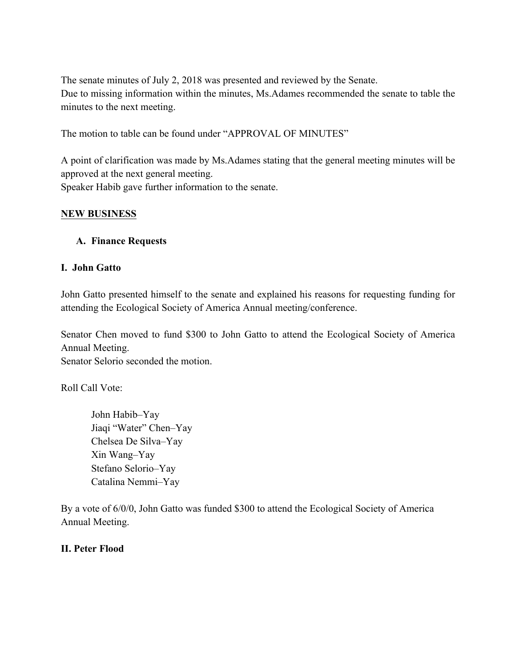The senate minutes of July 2, 2018 was presented and reviewed by the Senate. Due to missing information within the minutes, Ms.Adames recommended the senate to table the minutes to the next meeting.

The motion to table can be found under "APPROVAL OF MINUTES"

A point of clarification was made by Ms.Adames stating that the general meeting minutes will be approved at the next general meeting. Speaker Habib gave further information to the senate.

#### **NEW BUSINESS**

#### **A. Finance Requests**

#### **I. John Gatto**

John Gatto presented himself to the senate and explained his reasons for requesting funding for attending the Ecological Society of America Annual meeting/conference.

Senator Chen moved to fund \$300 to John Gatto to attend the Ecological Society of America Annual Meeting. Senator Selorio seconded the motion.

Roll Call Vote:

John Habib–Yay Jiaqi "Water" Chen–Yay Chelsea De Silva–Yay Xin Wang–Yay Stefano Selorio–Yay Catalina Nemmi–Yay

By a vote of 6/0/0, John Gatto was funded \$300 to attend the Ecological Society of America Annual Meeting.

#### **II. Peter Flood**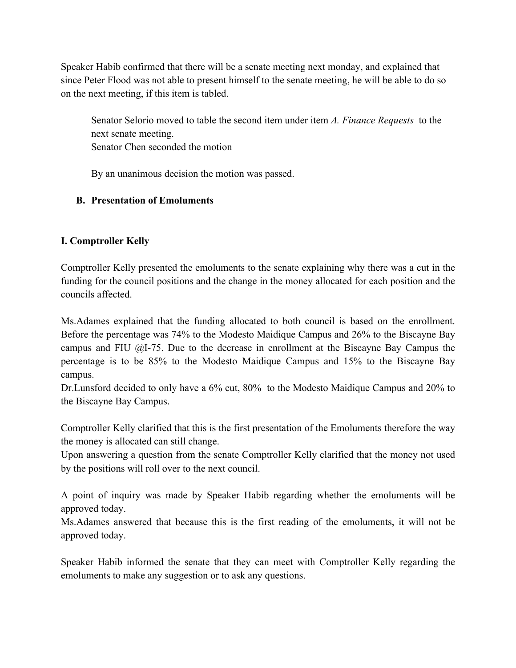Speaker Habib confirmed that there will be a senate meeting next monday, and explained that since Peter Flood was not able to present himself to the senate meeting, he will be able to do so on the next meeting, if this item is tabled.

Senator Selorio moved to table the second item under item *A. Finance Requests* to the next senate meeting. Senator Chen seconded the motion

By an unanimous decision the motion was passed.

## **B. Presentation of Emoluments**

# **I. Comptroller Kelly**

Comptroller Kelly presented the emoluments to the senate explaining why there was a cut in the funding for the council positions and the change in the money allocated for each position and the councils affected.

Ms.Adames explained that the funding allocated to both council is based on the enrollment. Before the percentage was 74% to the Modesto Maidique Campus and 26% to the Biscayne Bay campus and FIU  $(2)$ -75. Due to the decrease in enrollment at the Biscayne Bay Campus the percentage is to be 85% to the Modesto Maidique Campus and 15% to the Biscayne Bay campus.

Dr.Lunsford decided to only have a 6% cut, 80% to the Modesto Maidique Campus and 20% to the Biscayne Bay Campus.

Comptroller Kelly clarified that this is the first presentation of the Emoluments therefore the way the money is allocated can still change.

Upon answering a question from the senate Comptroller Kelly clarified that the money not used by the positions will roll over to the next council.

A point of inquiry was made by Speaker Habib regarding whether the emoluments will be approved today.

Ms.Adames answered that because this is the first reading of the emoluments, it will not be approved today.

Speaker Habib informed the senate that they can meet with Comptroller Kelly regarding the emoluments to make any suggestion or to ask any questions.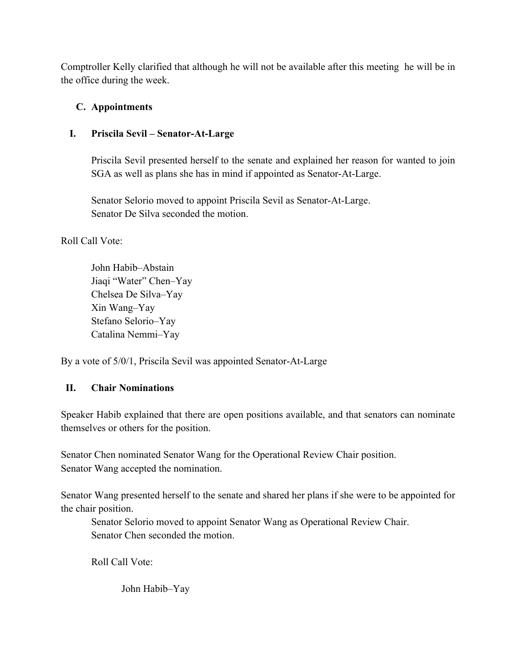Comptroller Kelly clarified that although he will not be available after this meeting he will be in the office during the week.

# **C. Appointments**

# **I. Priscila Sevil – Senator-At-Large**

Priscila Sevil presented herself to the senate and explained her reason for wanted to join SGA as well as plans she has in mind if appointed as Senator-At-Large.

Senator Selorio moved to appoint Priscila Sevil as Senator-At-Large. Senator De Silva seconded the motion.

## Roll Call Vote:

John Habib–Abstain Jiaqi "Water" Chen–Yay Chelsea De Silva–Yay Xin Wang–Yay Stefano Selorio–Yay Catalina Nemmi–Yay

By a vote of 5/0/1, Priscila Sevil was appointed Senator-At-Large

## **II. Chair Nominations**

Speaker Habib explained that there are open positions available, and that senators can nominate themselves or others for the position.

Senator Chen nominated Senator Wang for the Operational Review Chair position. Senator Wang accepted the nomination.

Senator Wang presented herself to the senate and shared her plans if she were to be appointed for the chair position.

Senator Selorio moved to appoint Senator Wang as Operational Review Chair. Senator Chen seconded the motion.

Roll Call Vote:

John Habib–Yay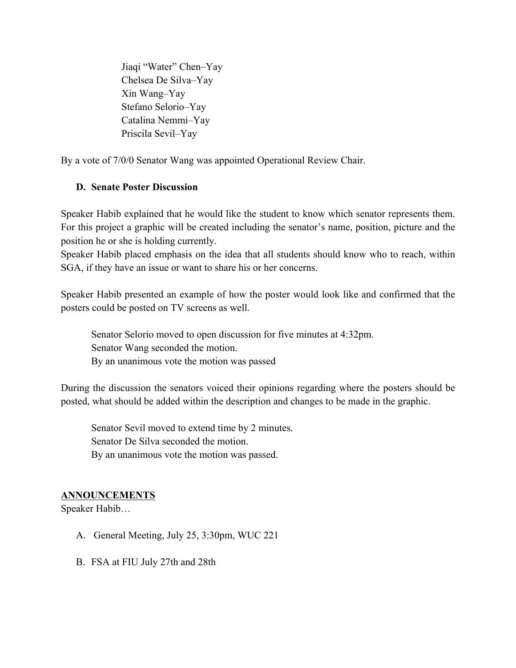Jiaqi "Water" Chen–Yay Chelsea De Silva–Yay Xin Wang–Yay Stefano Selorio–Yay Catalina Nemmi–Yay Priscila Sevil–Yay

By a vote of 7/0/0 Senator Wang was appointed Operational Review Chair.

#### **D. Senate Poster Discussion**

Speaker Habib explained that he would like the student to know which senator represents them. For this project a graphic will be created including the senator's name, position, picture and the position he or she is holding currently.

Speaker Habib placed emphasis on the idea that all students should know who to reach, within SGA, if they have an issue or want to share his or her concerns.

Speaker Habib presented an example of how the poster would look like and confirmed that the posters could be posted on TV screens as well.

Senator Selorio moved to open discussion for five minutes at 4:32pm. Senator Wang seconded the motion. By an unanimous vote the motion was passed

During the discussion the senators voiced their opinions regarding where the posters should be posted, what should be added within the description and changes to be made in the graphic.

Senator Sevil moved to extend time by 2 minutes. Senator De Silva seconded the motion. By an unanimous vote the motion was passed.

#### **ANNOUNCEMENTS**

Speaker Habib…

- A. General Meeting, July 25, 3:30pm, WUC 221
- B. FSA at FIU July 27th and 28th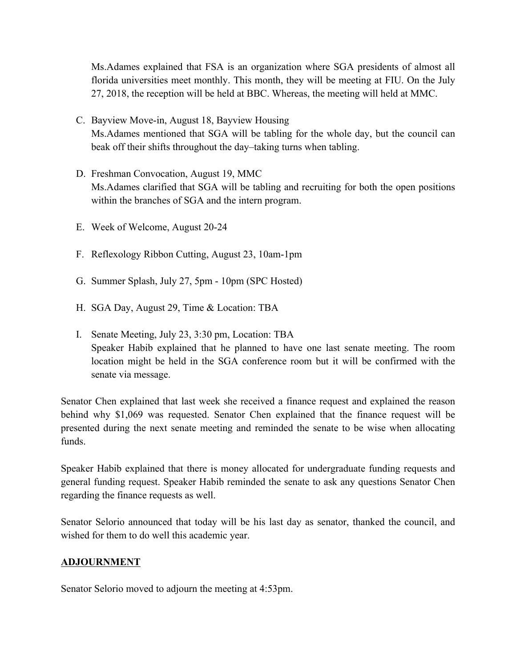Ms.Adames explained that FSA is an organization where SGA presidents of almost all florida universities meet monthly. This month, they will be meeting at FIU. On the July 27, 2018, the reception will be held at BBC. Whereas, the meeting will held at MMC.

- C. Bayview Move-in, August 18, Bayview Housing Ms.Adames mentioned that SGA will be tabling for the whole day, but the council can beak off their shifts throughout the day–taking turns when tabling.
- D. Freshman Convocation, August 19, MMC Ms.Adames clarified that SGA will be tabling and recruiting for both the open positions within the branches of SGA and the intern program.
- E. Week of Welcome, August 20-24
- F. Reflexology Ribbon Cutting, August 23, 10am-1pm
- G. Summer Splash, July 27, 5pm 10pm (SPC Hosted)
- H. SGA Day, August 29, Time & Location: TBA
- I. Senate Meeting, July 23, 3:30 pm, Location: TBA Speaker Habib explained that he planned to have one last senate meeting. The room location might be held in the SGA conference room but it will be confirmed with the senate via message.

Senator Chen explained that last week she received a finance request and explained the reason behind why \$1,069 was requested. Senator Chen explained that the finance request will be presented during the next senate meeting and reminded the senate to be wise when allocating funds.

Speaker Habib explained that there is money allocated for undergraduate funding requests and general funding request. Speaker Habib reminded the senate to ask any questions Senator Chen regarding the finance requests as well.

Senator Selorio announced that today will be his last day as senator, thanked the council, and wished for them to do well this academic year.

#### **ADJOURNMENT**

Senator Selorio moved to adjourn the meeting at 4:53pm.